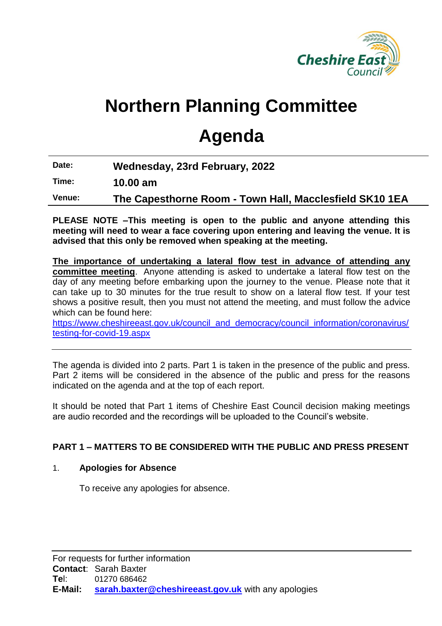

# **Northern Planning Committee**

# **Agenda**

**Date: Wednesday, 23rd February, 2022**

**Time: 10.00 am**

**Venue: The Capesthorne Room - Town Hall, Macclesfield SK10 1EA**

**PLEASE NOTE –This meeting is open to the public and anyone attending this meeting will need to wear a face covering upon entering and leaving the venue. It is advised that this only be removed when speaking at the meeting.**

**The importance of undertaking a lateral flow test in advance of attending any committee meeting**. Anyone attending is asked to undertake a lateral flow test on the day of any meeting before embarking upon the journey to the venue. Please note that it can take up to 30 minutes for the true result to show on a lateral flow test. If your test shows a positive result, then you must not attend the meeting, and must follow the advice which can be found here:

[https://www.cheshireeast.gov.uk/council\\_and\\_democracy/council\\_information/coronavirus/](https://www.cheshireeast.gov.uk/council_and_democracy/council_information/coronavirus/testing-for-covid-19.aspx) [testing-for-covid-19.aspx](https://www.cheshireeast.gov.uk/council_and_democracy/council_information/coronavirus/testing-for-covid-19.aspx)

The agenda is divided into 2 parts. Part 1 is taken in the presence of the public and press. Part 2 items will be considered in the absence of the public and press for the reasons indicated on the agenda and at the top of each report.

It should be noted that Part 1 items of Cheshire East Council decision making meetings are audio recorded and the recordings will be uploaded to the Council's website.

## **PART 1 – MATTERS TO BE CONSIDERED WITH THE PUBLIC AND PRESS PRESENT**

## 1. **Apologies for Absence**

To receive any apologies for absence.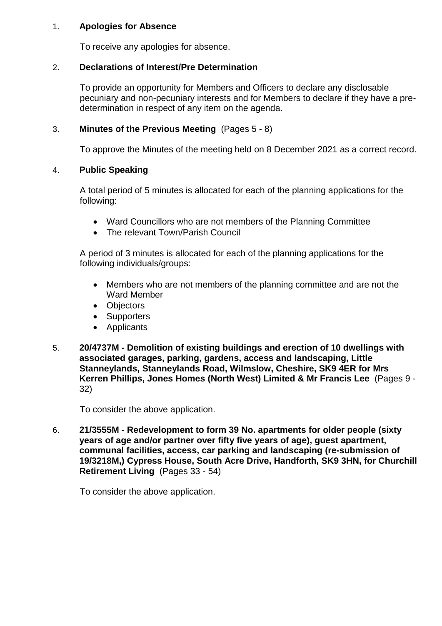#### 1. **Apologies for Absence**

To receive any apologies for absence.

#### 2. **Declarations of Interest/Pre Determination**

To provide an opportunity for Members and Officers to declare any disclosable pecuniary and non-pecuniary interests and for Members to declare if they have a predetermination in respect of any item on the agenda.

#### 3. **Minutes of the Previous Meeting** (Pages 5 - 8)

To approve the Minutes of the meeting held on 8 December 2021 as a correct record.

#### 4. **Public Speaking**

A total period of 5 minutes is allocated for each of the planning applications for the following:

- Ward Councillors who are not members of the Planning Committee
- The relevant Town/Parish Council

A period of 3 minutes is allocated for each of the planning applications for the following individuals/groups:

- Members who are not members of the planning committee and are not the Ward Member
- Objectors
- Supporters
- Applicants
- 5. **20/4737M - Demolition of existing buildings and erection of 10 dwellings with associated garages, parking, gardens, access and landscaping, Little Stanneylands, Stanneylands Road, Wilmslow, Cheshire, SK9 4ER for Mrs Kerren Phillips, Jones Homes (North West) Limited & Mr Francis Lee** (Pages 9 - 32)

To consider the above application.

6. **21/3555M - Redevelopment to form 39 No. apartments for older people (sixty years of age and/or partner over fifty five years of age), guest apartment, communal facilities, access, car parking and landscaping (re-submission of 19/3218M,) Cypress House, South Acre Drive, Handforth, SK9 3HN, for Churchill Retirement Living** (Pages 33 - 54)

To consider the above application.